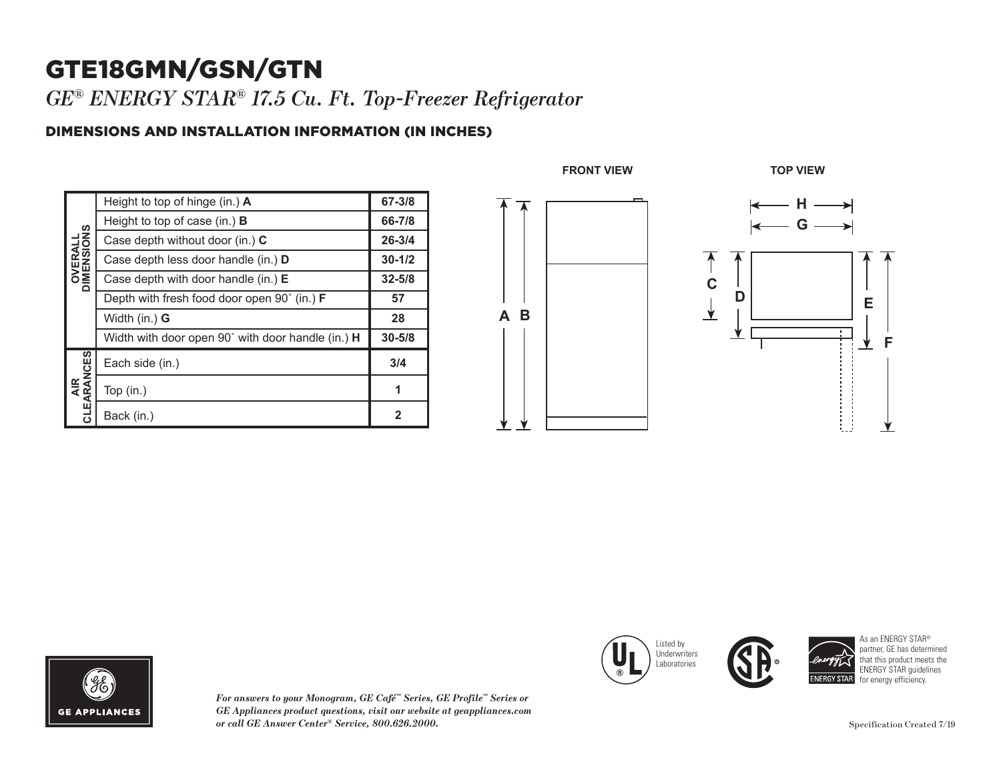## GTE18GMN/GSN/GTN

*GE® ENERGY STAR® 17.5 Cu. Ft. Top-Freezer Refrigerator* 

## DIMENSIONS AND INSTALLATION INFORMATION (IN INCHES)

| Height to top of hinge $(in.)$ A                             | 67-3/8     |
|--------------------------------------------------------------|------------|
| Height to top of case (in.) <b>B</b>                         | 66-7/8     |
| Case depth without door (in.) C                              | $26 - 3/4$ |
| Case depth less door handle (in.) D                          | $30 - 1/2$ |
| Case depth with door handle (in.) $E$                        | $32 - 5/8$ |
| Depth with fresh food door open 90 $^{\circ}$ (in.) <b>F</b> | 57         |
| Width (in.) G                                                | 28         |
| Width with door open 90° with door handle (in.) H            | $30 - 5/8$ |
| Each side (in.)                                              | 3/4        |
| Top $(in.)$                                                  | 1          |
| Back (in.)                                                   | 2          |
|                                                              |            |





*For answers to your Monogram, GE Café™ Series, GE Profile™ Series or GE Appliances product questions, visit our website at geappliances.com or call GE Answer Center® Service, 800.626.2000.*



 $\overline{\phantom{a}}$ 

 $\blacksquare$